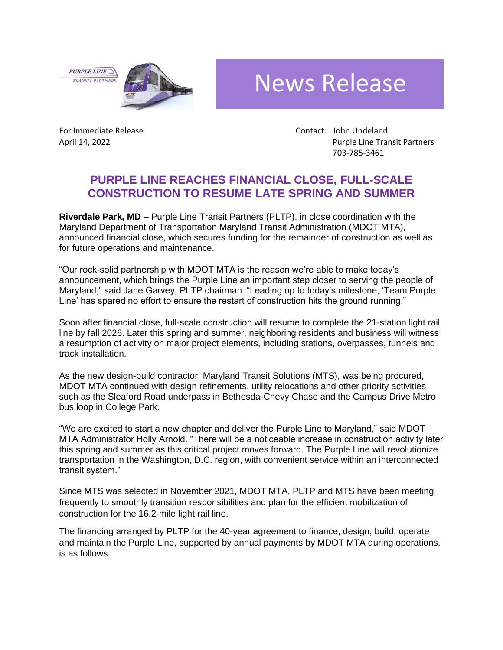**PURPLE LINE TRANSIT PARTNERS** 



## News Release

For Immediate Release Contact: John Undeland April 14, 2022 **Purple Line Transit Partners** 703-785-3461

## **PURPLE LINE REACHES FINANCIAL CLOSE, FULL-SCALE CONSTRUCTION TO RESUME LATE SPRING AND SUMMER**

**Riverdale Park, MD** – Purple Line Transit Partners (PLTP), in close coordination with the Maryland Department of Transportation Maryland Transit Administration (MDOT MTA), announced financial close, which secures funding for the remainder of construction as well as for future operations and maintenance.

"Our rock-solid partnership with MDOT MTA is the reason we're able to make today's announcement, which brings the Purple Line an important step closer to serving the people of Maryland," said Jane Garvey, PLTP chairman. "Leading up to today's milestone, 'Team Purple Line' has spared no effort to ensure the restart of construction hits the ground running."

Soon after financial close, full-scale construction will resume to complete the 21-station light rail line by fall 2026. Later this spring and summer, neighboring residents and business will witness a resumption of activity on major project elements, including stations, overpasses, tunnels and track installation.

As the new design-build contractor, Maryland Transit Solutions (MTS), was being procured, MDOT MTA continued with design refinements, utility relocations and other priority activities such as the Sleaford Road underpass in Bethesda-Chevy Chase and the Campus Drive Metro bus loop in College Park.

"We are excited to start a new chapter and deliver the Purple Line to Maryland," said MDOT MTA Administrator Holly Arnold. "There will be a noticeable increase in construction activity later this spring and summer as this critical project moves forward. The Purple Line will revolutionize transportation in the Washington, D.C. region, with convenient service within an interconnected transit system."

Since MTS was selected in November 2021, MDOT MTA, PLTP and MTS have been meeting frequently to smoothly transition responsibilities and plan for the efficient mobilization of construction for the 16.2-mile light rail line.

The financing arranged by PLTP for the 40-year agreement to finance, design, build, operate and maintain the Purple Line, supported by annual payments by MDOT MTA during operations, is as follows: